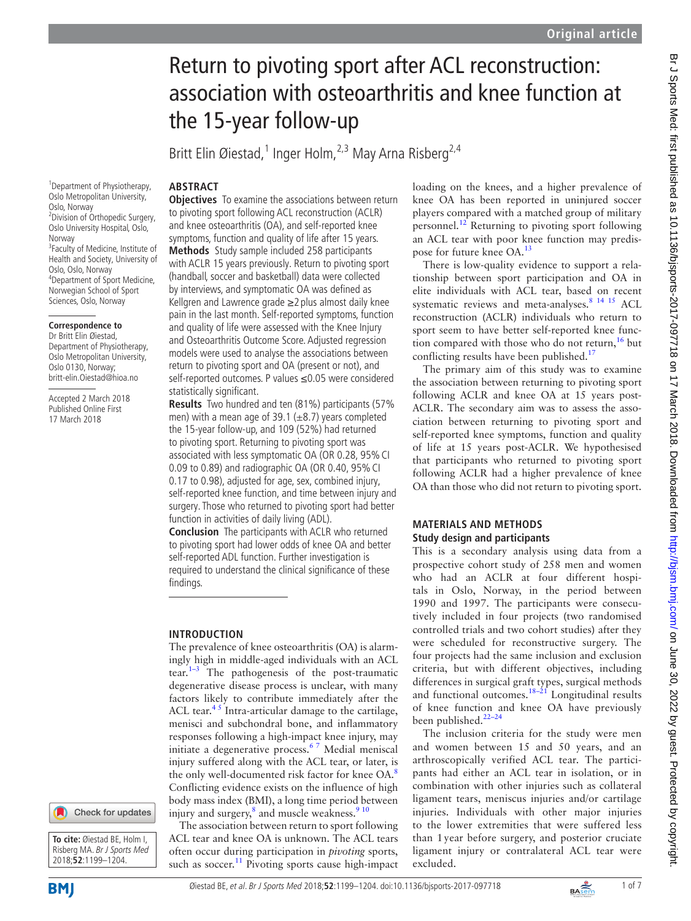# Return to pivoting sport after ACL reconstruction: association with osteoarthritis and knee function at the 15-year follow-up

Britt Elin Øiestad,<sup>1</sup> Inger Holm,<sup>2,3</sup> May Arna Risberg<sup>2,4</sup>

# **Abstract**

1 Department of Physiotherapy, Oslo Metropolitan University, Oslo, Norway 2 Division of Orthopedic Surgery, Oslo University Hospital, Oslo, Norway <sup>3</sup> Faculty of Medicine, Institute of Health and Society, University of Oslo, Oslo, Norway 4 Department of Sport Medicine, Norwegian School of Sport Sciences, Oslo, Norway

## **Correspondence to**

Dr Britt Elin Øiestad, Department of Physiotherapy, Oslo Metropolitan University, Oslo 0130, Norway; britt-elin.Oiestad@hioa.no

Accepted 2 March 2018 Published Online First 17 March 2018

**Objectives** To examine the associations between return to pivoting sport following ACL reconstruction (ACLR) and knee osteoarthritis (OA), and self-reported knee symptoms, function and quality of life after 15 years. **Methods** Study sample included 258 participants with ACLR 15 years previously. Return to pivoting sport (handball, soccer and basketball) data were collected by interviews, and symptomatic OA was defined as Kellgren and Lawrence grade ≥2 plus almost daily knee pain in the last month. Self-reported symptoms, function and quality of life were assessed with the Knee Injury and Osteoarthritis Outcome Score. Adjusted regression models were used to analyse the associations between return to pivoting sport and OA (present or not), and self-reported outcomes. P values ≤0.05 were considered statistically significant.

**Results** Two hundred and ten (81%) participants (57% men) with a mean age of 39.1 ( $\pm$ 8.7) years completed the 15-year follow-up, and 109 (52%) had returned to pivoting sport. Returning to pivoting sport was associated with less symptomatic OA (OR 0.28, 95%CI 0.09 to 0.89) and radiographic OA (OR 0.40, 95%CI 0.17 to 0.98), adjusted for age, sex, combined injury, self-reported knee function, and time between injury and surgery. Those who returned to pivoting sport had better function in activities of daily living (ADL).

**Conclusion** The participants with ACLR who returned to pivoting sport had lower odds of knee OA and better self-reported ADL function. Further investigation is required to understand the clinical significance of these findings.

## **Introduction**

The prevalence of knee osteoarthritis (OA) is alarmingly high in middle-aged individuals with an ACL tear. $1-3$  The pathogenesis of the post-traumatic degenerative disease process is unclear, with many factors likely to contribute immediately after the ACL tear.<sup>45</sup> Intra-articular damage to the cartilage, menisci and subchondral bone, and inflammatory responses following a high-impact knee injury, may initiate a degenerative process.<sup>67</sup> Medial meniscal injury suffered along with the ACL tear, or later, is the only well-documented risk factor for knee OA.<sup>[8](#page-5-3)</sup> Conflicting evidence exists on the influence of high body mass index (BMI), a long time period between injury and surgery,<sup>8</sup> and muscle weakness.<sup>910</sup>

The association between return to sport following ACL tear and knee OA is unknown. The ACL tears often occur during participation in *pivoting* sports, such as soccer.<sup>[11](#page-5-5)</sup> Pivoting sports cause high-impact

loading on the knees, and a higher prevalence of knee OA has been reported in uninjured soccer players compared with a matched group of military personnel.[12](#page-5-6) Returning to pivoting sport following an ACL tear with poor knee function may predispose for future knee OA.[13](#page-5-7)

There is low-quality evidence to support a relationship between sport participation and OA in elite individuals with ACL tear, based on recent systematic reviews and meta-analyses.<sup>8</sup> <sup>14</sup> <sup>15</sup> ACL reconstruction (ACLR) individuals who return to sport seem to have better self-reported knee function compared with those who do not return, $16$  but conflicting results have been published.<sup>[17](#page-5-9)</sup>

The primary aim of this study was to examine the association between returning to pivoting sport following ACLR and knee OA at 15 years post-ACLR. The secondary aim was to assess the association between returning to pivoting sport and self-reported knee symptoms, function and quality of life at 15 years post-ACLR. We hypothesised that participants who returned to pivoting sport following ACLR had a higher prevalence of knee OA than those who did not return to pivoting sport.

# **Materials and methods Study design and participants**

This is a secondary analysis using data from a prospective cohort study of 258 men and women who had an ACLR at four different hospitals in Oslo, Norway, in the period between 1990 and 1997. The participants were consecutively included in four projects (two randomised controlled trials and two cohort studies) after they were scheduled for reconstructive surgery. The four projects had the same inclusion and exclusion criteria, but with different objectives, including differences in surgical graft types, surgical methods and functional outcomes. $18-21$  Longitudinal results of knee function and knee OA have previously been published.[22–24](#page-5-11)

The inclusion criteria for the study were men and women between 15 and 50 years, and an arthroscopically verified ACL tear. The participants had either an ACL tear in isolation, or in combination with other injuries such as collateral ligament tears, meniscus injuries and/or cartilage injuries. Individuals with other major injuries to the lower extremities that were suffered less than 1 year before surgery, and posterior cruciate ligament injury or contralateral ACL tear were excluded.

Check for updates

**To cite:** Øiestad BE, Holm I, Risberg MA. Br J Sports Med 2018;**52**:1199–1204.



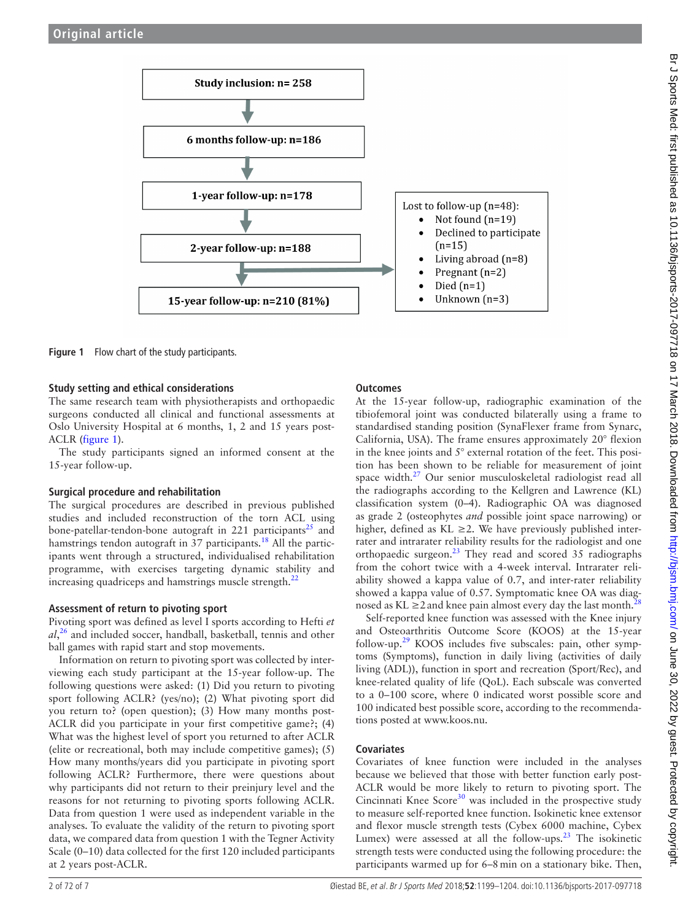

<span id="page-1-0"></span>**Figure 1** Flow chart of the study participants.

#### **Study setting and ethical considerations**

The same research team with physiotherapists and orthopaedic surgeons conducted all clinical and functional assessments at Oslo University Hospital at 6 months, 1, 2 and 15 years post-ACLR [\(figure](#page-1-0) 1).

The study participants signed an informed consent at the 15-year follow-up.

#### **Surgical procedure and rehabilitation**

The surgical procedures are described in previous published studies and included reconstruction of the torn ACL using bone-patellar-tendon-bone autograft in 221 participants<sup>[25](#page-5-12)</sup> and hamstrings tendon autograft in  $37$  participants.<sup>18</sup> All the participants went through a structured, individualised rehabilitation programme, with exercises targeting dynamic stability and increasing quadriceps and hamstrings muscle strength.<sup>[22](#page-5-11)</sup>

#### **Assessment of return to pivoting sport**

Pivoting sport was defined as level I sports according to Hefti *et al*, [26](#page-5-13) and included soccer, handball, basketball, tennis and other ball games with rapid start and stop movements.

Information on return to pivoting sport was collected by interviewing each study participant at the 15-year follow-up. The following questions were asked: (1) Did you return to pivoting sport following ACLR? (yes/no); (2) What pivoting sport did you return to? (open question); (3) How many months post-ACLR did you participate in your first competitive game?; (4) What was the highest level of sport you returned to after ACLR (elite or recreational, both may include competitive games); (5) How many months/years did you participate in pivoting sport following ACLR? Furthermore, there were questions about why participants did not return to their preinjury level and the reasons for not returning to pivoting sports following ACLR. Data from question 1 were used as independent variable in the analyses. To evaluate the validity of the return to pivoting sport data, we compared data from question 1 with the Tegner Activity Scale (0–10) data collected for the first 120 included participants at 2 years post-ACLR.

#### **Outcomes**

At the 15-year follow-up, radiographic examination of the tibiofemoral joint was conducted bilaterally using a frame to standardised standing position (SynaFlexer frame from Synarc, California, USA). The frame ensures approximately 20° flexion in the knee joints and 5° external rotation of the feet. This position has been shown to be reliable for measurement of joint space width[.27](#page-5-14) Our senior musculoskeletal radiologist read all the radiographs according to the Kellgren and Lawrence (KL) classification system (0–4). Radiographic OA was diagnosed as grade 2 (osteophytes *and* possible joint space narrowing) or higher, defined as KL  $\geq$ 2. We have previously published interrater and intrarater reliability results for the radiologist and one orthopaedic surgeon.[23](#page-5-15) They read and scored 35 radiographs from the cohort twice with a 4-week interval. Intrarater reliability showed a kappa value of 0.7, and inter-rater reliability showed a kappa value of 0.57. Symptomatic knee OA was diagnosed as KL  $\geq$ 2 and knee pain almost every day the last month.<sup>[28](#page-5-16)</sup>

Self-reported knee function was assessed with the Knee injury and Osteoarthritis Outcome Score (KOOS) at the 15-year follow-up.<sup>29</sup> KOOS includes five subscales: pain, other symptoms (Symptoms), function in daily living (activities of daily living (ADL)), function in sport and recreation (Sport/Rec), and knee-related quality of life (QoL). Each subscale was converted to a 0–100 score, where 0 indicated worst possible score and 100 indicated best possible score, according to the recommendations posted at <www.koos.nu.>

## **Covariates**

Covariates of knee function were included in the analyses because we believed that those with better function early post-ACLR would be more likely to return to pivoting sport. The Cincinnati Knee Score<sup>[30](#page-5-18)</sup> was included in the prospective study to measure self-reported knee function. Isokinetic knee extensor and flexor muscle strength tests (Cybex 6000 machine, Cybex Lumex) were assessed at all the follow-ups.<sup>[23](#page-5-15)</sup> The isokinetic strength tests were conducted using the following procedure: the participants warmed up for 6–8min on a stationary bike. Then,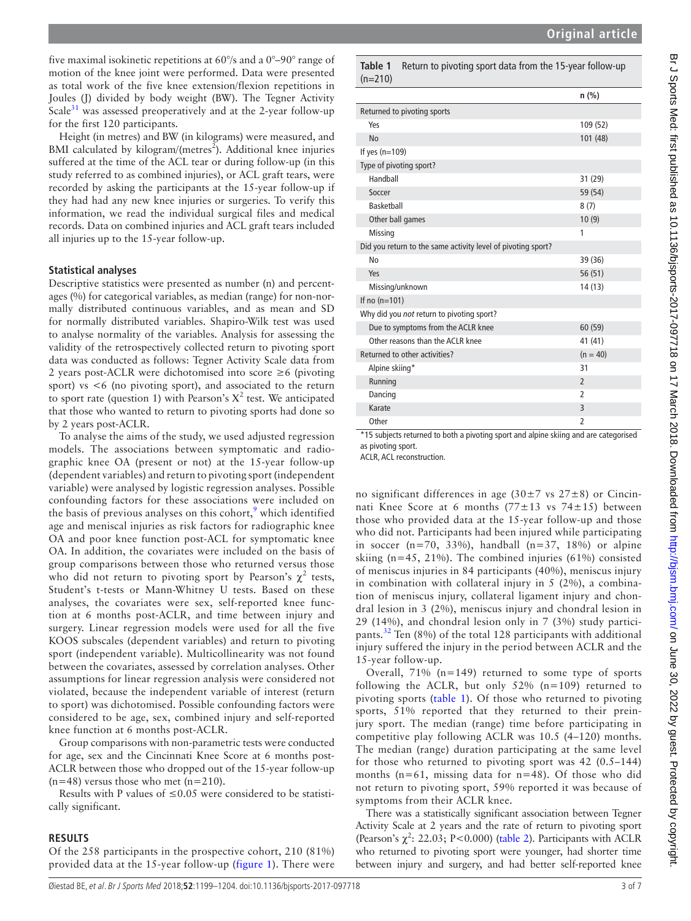five maximal isokinetic repetitions at 60°/s and a 0°–90° range of motion of the knee joint were performed. Data were presented as total work of the five knee extension/flexion repetitions in Joules (J) divided by body weight (BW). The Tegner Activity Scale $31$  was assessed preoperatively and at the 2-year follow-up for the first 120 participants.

Height (in metres) and BW (in kilograms) were measured, and BMI calculated by kilogram/(metres<sup>2</sup>). Additional knee injuries suffered at the time of the ACL tear or during follow-up (in this study referred to as combined injuries), or ACL graft tears, were recorded by asking the participants at the 15-year follow-up if they had had any new knee injuries or surgeries. To verify this information, we read the individual surgical files and medical records. Data on combined injuries and ACL graft tears included all injuries up to the 15-year follow-up.

#### **Statistical analyses**

Descriptive statistics were presented as number (n) and percentages (%) for categorical variables, as median (range) for non-normally distributed continuous variables, and as mean and SD for normally distributed variables. Shapiro-Wilk test was used to analyse normality of the variables. Analysis for assessing the validity of the retrospectively collected return to pivoting sport data was conducted as follows: Tegner Activity Scale data from 2 years post-ACLR were dichotomised into score ≥6 (pivoting sport) vs <6 (no pivoting sport), and associated to the return to sport rate (question 1) with Pearson's  $X^2$  test. We anticipated that those who wanted to return to pivoting sports had done so by 2 years post-ACLR.

To analyse the aims of the study, we used adjusted regression models. The associations between symptomatic and radiographic knee OA (present or not) at the 15-year follow-up (dependent variables) and return to pivoting sport (independent variable) were analysed by logistic regression analyses. Possible confounding factors for these associations were included on the basis of previous analyses on this cohort, $\frac{9}{7}$  $\frac{9}{7}$  $\frac{9}{7}$  which identified age and meniscal injuries as risk factors for radiographic knee OA and poor knee function post-ACL for symptomatic knee OA. In addition, the covariates were included on the basis of group comparisons between those who returned versus those who did not return to pivoting sport by Pearson's  $\chi^2$  tests, Student's t-tests or Mann-Whitney U tests. Based on these analyses, the covariates were sex, self-reported knee function at 6 months post-ACLR, and time between injury and surgery. Linear regression models were used for all the five KOOS subscales (dependent variables) and return to pivoting sport (independent variable). Multicollinearity was not found between the covariates, assessed by correlation analyses. Other assumptions for linear regression analysis were considered not violated, because the independent variable of interest (return to sport) was dichotomised. Possible confounding factors were considered to be age, sex, combined injury and self-reported knee function at 6 months post-ACLR.

Group comparisons with non-parametric tests were conducted for age, sex and the Cincinnati Knee Score at 6 months post-ACLR between those who dropped out of the 15-year follow-up  $(n=48)$  versus those who met  $(n=210)$ .

Results with P values of  $\leq 0.05$  were considered to be statistically significant.

## **Results**

Of the 258 participants in the prospective cohort, 210 (81%) provided data at the 15-year follow-up [\(figure](#page-1-0) 1). There were <span id="page-2-0"></span>**Table 1** Return to pivoting sport data from the 15-year follow-up (n=210)

|                                                              | $n$ (%)        |
|--------------------------------------------------------------|----------------|
| Returned to pivoting sports                                  |                |
| Yes                                                          | 109 (52)       |
| No                                                           | 101 (48)       |
| If yes $(n=109)$                                             |                |
| Type of pivoting sport?                                      |                |
| Handball                                                     | 31 (29)        |
| Soccer                                                       | 59 (54)        |
| <b>Basketball</b>                                            | 8(7)           |
| Other ball games                                             | 10(9)          |
| Missing                                                      | 1              |
| Did you return to the same activity level of pivoting sport? |                |
| No                                                           | 39 (36)        |
| Yes                                                          | 56 (51)        |
| Missing/unknown                                              | 14 (13)        |
| If no $(n=101)$                                              |                |
| Why did you not return to pivoting sport?                    |                |
| Due to symptoms from the ACLR knee                           | 60 (59)        |
| Other reasons than the ACLR knee                             | 41 (41)        |
| Returned to other activities?                                | $(n = 40)$     |
| Alpine skiing*                                               | 31             |
| Running                                                      | $\overline{2}$ |
| Dancing                                                      | $\overline{2}$ |
| Karate                                                       | 3              |
| Other                                                        | 2              |

\*15 subjects returned to both a pivoting sport and alpine skiing and are categorised as pivoting sport.

ACLR, ACL reconstruction.

no significant differences in age  $(30\pm7$  vs  $27\pm8$ ) or Cincinnati Knee Score at 6 months  $(77 \pm 13 \text{ vs } 74 \pm 15)$  between those who provided data at the 15-year follow-up and those who did not. Participants had been injured while participating in soccer ( $n=70$ , 33%), handball ( $n=37$ , 18%) or alpine skiing (n=45, 21%). The combined injuries (61%) consisted of meniscus injuries in 84 participants (40%), meniscus injury in combination with collateral injury in 5 (2%), a combination of meniscus injury, collateral ligament injury and chondral lesion in 3 (2%), meniscus injury and chondral lesion in 29 (14%), and chondral lesion only in 7 (3%) study participants.<sup>32</sup> Ten (8%) of the total 128 participants with additional injury suffered the injury in the period between ACLR and the 15-year follow-up.

Overall, 71% (n=149) returned to some type of sports following the ACLR, but only 52% (n=109) returned to pivoting sports ([table](#page-2-0) 1). Of those who returned to pivoting sports, 51% reported that they returned to their preinjury sport. The median (range) time before participating in competitive play following ACLR was 10.5 (4–120) months. The median (range) duration participating at the same level for those who returned to pivoting sport was 42 (0.5–144) months ( $n=61$ , missing data for  $n=48$ ). Of those who did not return to pivoting sport, 59% reported it was because of symptoms from their ACLR knee.

There was a statistically significant association between Tegner Activity Scale at 2 years and the rate of return to pivoting sport (Pearson's  $\chi^2$ : 22.03; P<0.000) ([table](#page-3-0) 2). Participants with ACLR who returned to pivoting sport were younger, had shorter time between injury and surgery, and had better self-reported knee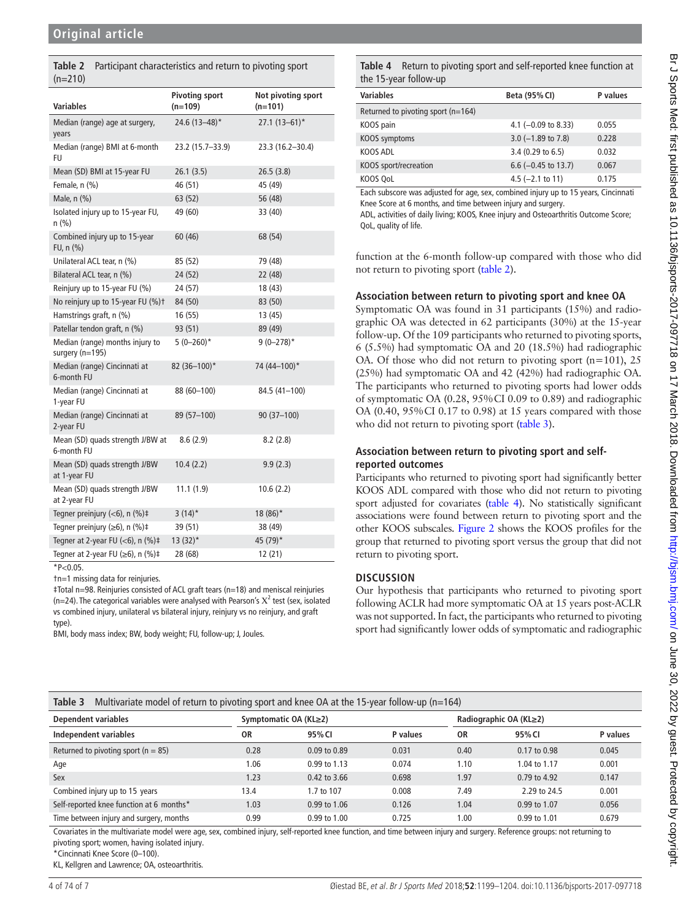<span id="page-3-0"></span>**Table 2** Participant characteristics and return to pivoting sport  $(n=210)$ 

| <b>Variables</b>                                   | <b>Pivoting sport</b><br>$(n=109)$ | Not pivoting sport<br>$(n=101)$ |
|----------------------------------------------------|------------------------------------|---------------------------------|
| Median (range) age at surgery,<br>years            | 24.6 (13-48)*                      | $27.1(13-61)^*$                 |
| Median (range) BMI at 6-month<br>FU                | 23.2 (15.7-33.9)                   | 23.3 (16.2-30.4)                |
| Mean (SD) BMI at 15-year FU                        | 26.1(3.5)                          | 26.5(3.8)                       |
| Female, n (%)                                      | 46 (51)                            | 45 (49)                         |
| Male, n (%)                                        | 63 (52)                            | 56 (48)                         |
| Isolated injury up to 15-year FU,<br>n (%)         | 49 (60)                            | 33 (40)                         |
| Combined injury up to 15-year<br>FU, $n$ (%)       | 60 (46)                            | 68 (54)                         |
| Unilateral ACL tear, n (%)                         | 85 (52)                            | 79 (48)                         |
| Bilateral ACL tear, n (%)                          | 24 (52)                            | 22 (48)                         |
| Reinjury up to 15-year FU (%)                      | 24 (57)                            | 18 (43)                         |
| No reinjury up to 15-year FU (%)t                  | 84 (50)                            | 83 (50)                         |
| Hamstrings graft, n (%)                            | 16(55)                             | 13 (45)                         |
| Patellar tendon graft, n (%)                       | 93 (51)                            | 89 (49)                         |
| Median (range) months injury to<br>surgery (n=195) | $5(0-260)^*$                       | $9(0-278)$ *                    |
| Median (range) Cincinnati at<br>6-month FU         | 82 (36-100)*                       | 74 (44-100)*                    |
| Median (range) Cincinnati at<br>1-year FU          | 88 (60-100)                        | 84.5 (41-100)                   |
| Median (range) Cincinnati at<br>2-year FU          | 89 (57-100)                        | $90(37-100)$                    |
| Mean (SD) quads strength J/BW at<br>6-month FU     | 8.6(2.9)                           | 8.2(2.8)                        |
| Mean (SD) quads strength J/BW<br>at 1-year FU      | 10.4(2.2)                          | 9.9(2.3)                        |
| Mean (SD) quads strength J/BW<br>at 2-year FU      | 11.1(1.9)                          | 10.6(2.2)                       |
| Tegner preinjury (<6), n (%)#                      | $3(14)^*$                          | 18 (86)*                        |
| Tegner preinjury ( $\geq 6$ ), n (%)‡              | 39 (51)                            | 38 (49)                         |
| Tegner at 2-year FU ( $<$ 6), n (%) $\ddagger$     | $13(32)^*$                         | 45 (79)*                        |
| Tegner at 2-year FU ( $\geq 6$ ), n (%)‡           | 28 (68)                            | 12(21)                          |

 $*P<0.05$ .

†n=1 missing data for reinjuries.

‡Total n=98. Reinjuries consisted of ACL graft tears (n=18) and meniscal reinjuries (n=24). The categorical variables were analysed with Pearson's  $X^2$  test (sex, isolated vs combined injury, unilateral vs bilateral injury, reinjury vs no reinjury, and graft type).

BMI, body mass index; BW, body weight; FU, follow-up; J, Joules.

<span id="page-3-2"></span>

| <b>Variables</b>                       | Beta (95% CI)         | P values |
|----------------------------------------|-----------------------|----------|
| Returned to pivoting sport ( $n=164$ ) |                       |          |
| KOOS pain                              | 4.1 $(-0.09$ to 8.33) | 0.055    |
| KOOS symptoms                          | $3.0$ (-1.89 to 7.8)  | 0.228    |
| KOOS ADL                               | 3.4 (0.29 to 6.5)     | 0.032    |
| KOOS sport/recreation                  | $6.6$ (-0.45 to 13.7) | 0.067    |
| KOOS QoL                               | 4.5 $(-2.1$ to 11)    | 0.175    |

Each subscore was adjusted for age, sex, combined injury up to 15 years, Cincinnati Knee Score at 6 months, and time between injury and surgery.

ADL, activities of daily living; KOOS, Knee injury and Osteoarthritis Outcome Score; QoL, quality of life.

function at the 6-month follow-up compared with those who did not return to pivoting sport ([table](#page-3-0) 2).

#### **Association between return to pivoting sport and knee OA**

Symptomatic OA was found in 31 participants (15%) and radiographic OA was detected in 62 participants (30%) at the 15-year follow-up. Of the 109 participants who returned to pivoting sports, 6 (5.5%) had symptomatic OA and 20 (18.5%) had radiographic OA. Of those who did not return to pivoting sport (n=101), 25 (25%) had symptomatic OA and 42 (42%) had radiographic OA. The participants who returned to pivoting sports had lower odds of symptomatic OA (0.28, 95%CI 0.09 to 0.89) and radiographic OA (0.40, 95%CI 0.17 to 0.98) at 15 years compared with those who did not return to pivoting sport [\(table](#page-3-1) 3).

# **Association between return to pivoting sport and selfreported outcomes**

Participants who returned to pivoting sport had significantly better KOOS ADL compared with those who did not return to pivoting sport adjusted for covariates [\(table](#page-3-2) 4). No statistically significant associations were found between return to pivoting sport and the other KOOS subscales. [Figure](#page-4-0) 2 shows the KOOS profiles for the group that returned to pivoting sport versus the group that did not return to pivoting sport.

## **Discussion**

Our hypothesis that participants who returned to pivoting sport following ACLR had more symptomatic OA at 15 years post-ACLR was not supported. In fact, the participants who returned to pivoting sport had significantly lower odds of symptomatic and radiographic

<span id="page-3-1"></span>

|  | Table 3 Multivariate model of return to pivoting sport and knee OA at the 15-year follow-up ( $n=164$ ) |
|--|---------------------------------------------------------------------------------------------------------|
|--|---------------------------------------------------------------------------------------------------------|

| Dependent variables                      | Symptomatic OA (KL≥2) |                  | Radiographic OA (KL≥2) |      |                  |          |
|------------------------------------------|-----------------------|------------------|------------------------|------|------------------|----------|
| Independent variables                    | ΟR                    | 95% CI           | P values               | 0R   | 95% CI           | P values |
| Returned to pivoting sport ( $n = 85$ )  | 0.28                  | $0.09$ to $0.89$ | 0.031                  | 0.40 | $0.17$ to $0.98$ | 0.045    |
| Age                                      | 1.06                  | 0.99 to 1.13     | 0.074                  | 1.10 | 1.04 to 1.17     | 0.001    |
| Sex                                      | 1.23                  | $0.42$ to 3.66   | 0.698                  | 1.97 | 0.79 to 4.92     | 0.147    |
| Combined injury up to 15 years           | 13.4                  | 1.7 to 107       | 0.008                  | 7.49 | 2.29 to 24.5     | 0.001    |
| Self-reported knee function at 6 months* | 1.03                  | 0.99 to 1.06     | 0.126                  | 1.04 | 0.99 to 1.07     | 0.056    |
| Time between injury and surgery, months  | 0.99                  | $0.99$ to $1.00$ | 0.725                  | 1.00 | 0.99 to 1.01     | 0.679    |

Covariates in the multivariate model were age, sex, combined injury, self-reported knee function, and time between injury and surgery. Reference groups: not returning to pivoting sport; women, having isolated injury.

\*Cincinnati Knee Score (0–100).

KL, Kellgren and Lawrence; OA, osteoarthritis.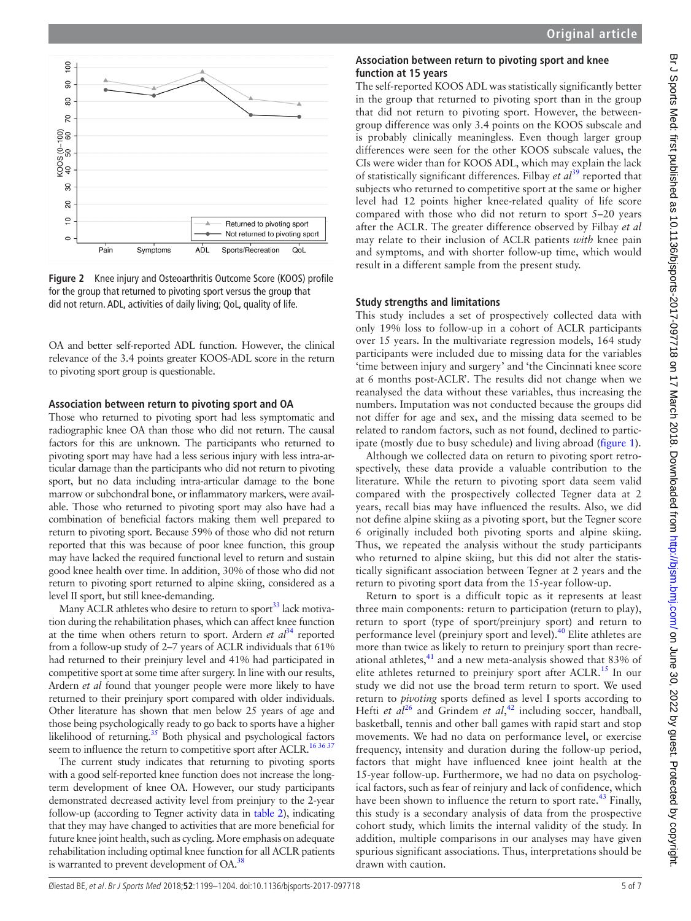

<span id="page-4-0"></span>**Figure 2** Knee injury and Osteoarthritis Outcome Score (KOOS) profile for the group that returned to pivoting sport versus the group that did not return. ADL, activities of daily living; QoL, quality of life.

OA and better self-reported ADL function. However, the clinical relevance of the 3.4 points greater KOOS-ADL score in the return to pivoting sport group is questionable.

#### **Association between return to pivoting sport and OA**

Those who returned to pivoting sport had less symptomatic and radiographic knee OA than those who did not return. The causal factors for this are unknown. The participants who returned to pivoting sport may have had a less serious injury with less intra-articular damage than the participants who did not return to pivoting sport, but no data including intra-articular damage to the bone marrow or subchondral bone, or inflammatory markers, were available. Those who returned to pivoting sport may also have had a combination of beneficial factors making them well prepared to return to pivoting sport. Because 59% of those who did not return reported that this was because of poor knee function, this group may have lacked the required functional level to return and sustain good knee health over time. In addition, 30% of those who did not return to pivoting sport returned to alpine skiing, considered as a level II sport, but still knee-demanding.

Many ACLR athletes who desire to return to sport<sup>33</sup> lack motivation during the rehabilitation phases, which can affect knee function at the time when others return to sport. Ardern *et*  $al^{34}$  $al^{34}$  $al^{34}$  reported from a follow-up study of 2–7 years of ACLR individuals that 61% had returned to their preinjury level and 41% had participated in competitive sport at some time after surgery. In line with our results, Ardern *et al* found that younger people were more likely to have returned to their preinjury sport compared with older individuals. Other literature has shown that men below 25 years of age and those being psychologically ready to go back to sports have a higher likelihood of returning. $35$  Both physical and psychological factors seem to influence the return to competitive sport after ACLR.<sup>163637</sup>

The current study indicates that returning to pivoting sports with a good self-reported knee function does not increase the longterm development of knee OA. However, our study participants demonstrated decreased activity level from preinjury to the 2-year follow-up (according to Tegner activity data in [table](#page-3-0) 2), indicating that they may have changed to activities that are more beneficial for future knee joint health, such as cycling. More emphasis on adequate rehabilitation including optimal knee function for all ACLR patients is warranted to prevent development of  $OA^{38}$ 

#### **Association between return to pivoting sport and knee function at 15 years**

The self-reported KOOS ADL was statistically significantly better in the group that returned to pivoting sport than in the group that did not return to pivoting sport. However, the betweengroup difference was only 3.4 points on the KOOS subscale and is probably clinically meaningless. Even though larger group differences were seen for the other KOOS subscale values, the CIs were wider than for KOOS ADL, which may explain the lack of statistically significant differences. Filbay *et al*[39](#page-6-1) reported that subjects who returned to competitive sport at the same or higher level had 12 points higher knee-related quality of life score compared with those who did not return to sport 5–20 years after the ACLR. The greater difference observed by Filbay *et al* may relate to their inclusion of ACLR patients *with* knee pain and symptoms, and with shorter follow-up time, which would result in a different sample from the present study.

#### **Study strengths and limitations**

This study includes a set of prospectively collected data with only 19% loss to follow-up in a cohort of ACLR participants over 15 years. In the multivariate regression models, 164 study participants were included due to missing data for the variables 'time between injury and surgery' and 'the Cincinnati knee score at 6 months post-ACLR'. The results did not change when we reanalysed the data without these variables, thus increasing the numbers. Imputation was not conducted because the groups did not differ for age and sex, and the missing data seemed to be related to random factors, such as not found, declined to participate (mostly due to busy schedule) and living abroad [\(figure](#page-1-0) 1).

Although we collected data on return to pivoting sport retrospectively, these data provide a valuable contribution to the literature. While the return to pivoting sport data seem valid compared with the prospectively collected Tegner data at 2 years, recall bias may have influenced the results. Also, we did not define alpine skiing as a pivoting sport, but the Tegner score 6 originally included both pivoting sports and alpine skiing. Thus, we repeated the analysis without the study participants who returned to alpine skiing, but this did not alter the statistically significant association between Tegner at 2 years and the return to pivoting sport data from the 15-year follow-up.

Return to sport is a difficult topic as it represents at least three main components: return to participation (return to play), return to sport (type of sport/preinjury sport) and return to performance level (preinjury sport and level).[40](#page-6-2) Elite athletes are more than twice as likely to return to preinjury sport than recreational athletes, $41$  and a new meta-analysis showed that 83% of elite athletes returned to preinjury sport after ACLR.<sup>15</sup> In our study we did not use the broad term return to sport. We used return to *pivoting* sports defined as level I sports according to Hefti *et al*<sup>26</sup> and Grindem *et al*,<sup>42</sup> including soccer, handball, basketball, tennis and other ball games with rapid start and stop movements. We had no data on performance level, or exercise frequency, intensity and duration during the follow-up period, factors that might have influenced knee joint health at the 15-year follow-up. Furthermore, we had no data on psychological factors, such as fear of reinjury and lack of confidence, which have been shown to influence the return to sport rate.<sup>43</sup> Finally, this study is a secondary analysis of data from the prospective cohort study, which limits the internal validity of the study. In addition, multiple comparisons in our analyses may have given spurious significant associations. Thus, interpretations should be drawn with caution.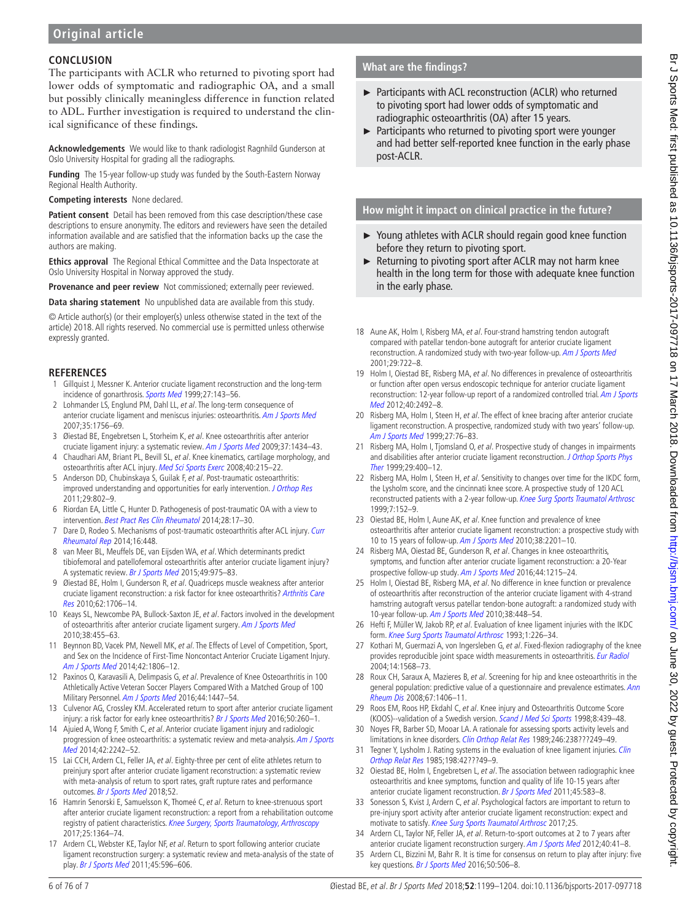## **Conclusion**

The participants with ACLR who returned to pivoting sport had lower odds of symptomatic and radiographic OA, and a small but possibly clinically meaningless difference in function related to ADL. Further investigation is required to understand the clinical significance of these findings.

**Acknowledgements** We would like to thank radiologist Ragnhild Gunderson at Oslo University Hospital for grading all the radiographs.

**Funding** The 15-year follow-up study was funded by the South-Eastern Norway Regional Health Authority.

**Competing interests** None declared.

**Patient consent** Detail has been removed from this case description/these case descriptions to ensure anonymity. The editors and reviewers have seen the detailed information available and are satisfied that the information backs up the case the authors are making.

**Ethics approval** The Regional Ethical Committee and the Data Inspectorate at Oslo University Hospital in Norway approved the study.

**Provenance and peer review** Not commissioned; externally peer reviewed.

**Data sharing statement** No unpublished data are available from this study.

© Article author(s) (or their employer(s) unless otherwise stated in the text of the article) 2018. All rights reserved. No commercial use is permitted unless otherwise expressly granted.

## **References**

- <span id="page-5-0"></span>1 Gillquist J, Messner K. Anterior cruciate ligament reconstruction and the long-term incidence of gonarthrosis. [Sports Med](http://dx.doi.org/10.2165/00007256-199927030-00001) 1999;27:143-56.
- 2 Lohmander LS, Englund PM, Dahl LL, et al. The long-term consequence of anterior cruciate ligament and meniscus injuries: osteoarthritis. [Am J Sports Med](http://dx.doi.org/10.1177/0363546507307396) 2007;35:1756–69.
- 3 Øiestad BE, Engebretsen L, Storheim K, et al. Knee osteoarthritis after anterior cruciate ligament injury: a systematic review. [Am J Sports Med](http://dx.doi.org/10.1177/0363546509338827) 2009;37:1434-43.
- <span id="page-5-1"></span>4 Chaudhari AM, Briant PL, Bevill SL, et al. Knee kinematics, cartilage morphology, and osteoarthritis after ACL injury. [Med Sci Sports Exerc](http://dx.doi.org/10.1249/mss.0b013e31815cbb0e) 2008;40:215–22.
- 5 Anderson DD, Chubinskaya S, Guilak F, et al. Post-traumatic osteoarthritis: improved understanding and opportunities for early intervention. [J Orthop Res](http://dx.doi.org/10.1002/jor.21359) 2011;29:802–9.
- <span id="page-5-2"></span>6 Riordan EA, Little C, Hunter D. Pathogenesis of post-traumatic OA with a view to intervention. [Best Pract Res Clin Rheumatol](http://dx.doi.org/10.1016/j.berh.2014.02.001) 2014;28:17-30.
- 7 Dare D, Rodeo S. Mechanisms of post-traumatic osteoarthritis after ACL injury. Curr [Rheumatol Rep](http://dx.doi.org/10.1007/s11926-014-0448-1) 2014;16:448.
- <span id="page-5-3"></span>8 van Meer BL, Meuffels DE, van Eijsden WA, et al. Which determinants predict tibiofemoral and patellofemoral osteoarthritis after anterior cruciate ligament injury? A systematic review. [Br J Sports Med](http://dx.doi.org/10.1136/bjsports-2013-093258) 2015;49:975–83.
- <span id="page-5-4"></span>9 Øiestad BE, Holm I, Gunderson R, et al. Quadriceps muscle weakness after anterior cruciate ligament reconstruction: a risk factor for knee osteoarthritis? Arthritis Care [Res](http://dx.doi.org/10.1002/acr.20299) 2010;62:1706–14.
- 10 Keays SL, Newcombe PA, Bullock-Saxton JE, et al. Factors involved in the development of osteoarthritis after anterior cruciate ligament surgery. [Am J Sports Med](http://dx.doi.org/10.1177/0363546509350914) 2010;38:455–63.
- <span id="page-5-5"></span>11 Beynnon BD, Vacek PM, Newell MK, et al. The Effects of Level of Competition, Sport, and Sex on the Incidence of First-Time Noncontact Anterior Cruciate Ligament Injury. [Am J Sports Med](http://dx.doi.org/10.1177/0363546514540862) 2014;42:1806–12.
- <span id="page-5-6"></span>12 Paxinos O, Karavasili A, Delimpasis G, et al. Prevalence of Knee Osteoarthritis in 100 Athletically Active Veteran Soccer Players Compared With a Matched Group of 100 Military Personnel. [Am J Sports Med](http://dx.doi.org/10.1177/0363546516629648) 2016:44:1447-54.
- <span id="page-5-7"></span>13 Culvenor AG, Crossley KM. Accelerated return to sport after anterior cruciate ligament injury: a risk factor for early knee osteoarthritis? [Br J Sports Med](http://dx.doi.org/10.1136/bjsports-2015-095542) 2016;50:260-1.
- 14 Ajuied A, Wong F, Smith C, et al. Anterior cruciate ligament injury and radiologic progression of knee osteoarthritis: a systematic review and meta-analysis. Am J Sports [Med](http://dx.doi.org/10.1177/0363546513508376) 2014:42:2242-52
- <span id="page-5-24"></span>15 Lai CCH, Ardern CL, Feller JA, et al. Eighty-three per cent of elite athletes return to preinjury sport after anterior cruciate ligament reconstruction: a systematic review with meta-analysis of return to sport rates, graft rupture rates and performance outcomes. [Br J Sports Med](http://dx.doi.org/10.1136/bjsports-2016-096836) 2018;52.
- <span id="page-5-8"></span>16 Hamrin Senorski E, Samuelsson K, Thomeé C, et al. Return to knee-strenuous sport after anterior cruciate ligament reconstruction: a report from a rehabilitation outcome registry of patient characteristics. [Knee Surgery, Sports Traumatology, Arthroscopy](http://dx.doi.org/10.1007/s00167-016-4280-1) 2017;25:1364–74.
- <span id="page-5-9"></span>17 Ardern CL, Webster KE, Taylor NF, et al. Return to sport following anterior cruciate ligament reconstruction surgery: a systematic review and meta-analysis of the state of play. [Br J Sports Med](http://dx.doi.org/10.1136/bjsm.2010.076364) 2011;45:596–606.

# **What are the findings?**

- ► Participants with ACL reconstruction (ACLR) who returned to pivoting sport had lower odds of symptomatic and radiographic osteoarthritis (OA) after 15 years.
- ► Participants who returned to pivoting sport were younger and had better self-reported knee function in the early phase post-ACLR.

**How might it impact on clinical practice in the future?**

- ► Young athletes with ACLR should regain good knee function before they return to pivoting sport.
- ► Returning to pivoting sport after ACLR may not harm knee health in the long term for those with adequate knee function in the early phase.
- <span id="page-5-10"></span>18 Aune AK, Holm I, Risberg MA, et al. Four-strand hamstring tendon autograft compared with patellar tendon-bone autograft for anterior cruciate ligament reconstruction. A randomized study with two-year follow-up. [Am J Sports Med](http://dx.doi.org/10.1177/03635465010290060901) 2001;29:722–8.
- 19 Holm I, Oiestad BE, Risberg MA, et al. No differences in prevalence of osteoarthritis or function after open versus endoscopic technique for anterior cruciate ligament reconstruction: 12-year follow-up report of a randomized controlled trial. Am J Sports [Med](http://dx.doi.org/10.1177/0363546512458766) 2012;40:2492-8.
- 20 Risberg MA, Holm I, Steen H, et al. The effect of knee bracing after anterior cruciate ligament reconstruction. A prospective, randomized study with two years' follow-up. [Am J Sports Med](http://dx.doi.org/10.1177/03635465990270012101) 1999;27:76–83.
- 21 Risberg MA, Holm I, Tjomsland O, et al. Prospective study of changes in impairments and disabilities after anterior cruciate ligament reconstruction. J Orthop Sports Phys [Ther](http://dx.doi.org/10.2519/jospt.1999.29.7.400) 1999:29:400-12
- <span id="page-5-11"></span>22 Risberg MA, Holm I, Steen H, et al. Sensitivity to changes over time for the IKDC form, the Lysholm score, and the cincinnati knee score. A prospective study of 120 ACL reconstructed patients with a 2-year follow-up. [Knee Surg Sports Traumatol Arthrosc](http://dx.doi.org/10.1007/s001670050140) 1999;7:152–9.
- <span id="page-5-15"></span>23 Oiestad BE, Holm I, Aune AK, et al. Knee function and prevalence of knee osteoarthritis after anterior cruciate ligament reconstruction: a prospective study with 10 to 15 years of follow-up. [Am J Sports Med](http://dx.doi.org/10.1177/0363546510373876) 2010;38:2201–10.
- 24 Risberg MA, Oiestad BE, Gunderson R, et al. Changes in knee osteoarthritis, symptoms, and function after anterior cruciate ligament reconstruction: a 20-Year prospective follow-up study. [Am J Sports Med](http://dx.doi.org/10.1177/0363546515626539) 2016;44:1215-24.
- <span id="page-5-12"></span>25 Holm I, Oiestad BE, Risberg MA, et al. No difference in knee function or prevalence of osteoarthritis after reconstruction of the anterior cruciate ligament with 4-strand hamstring autograft versus patellar tendon-bone autograft: a randomized study with 10-year follow-up. [Am J Sports Med](http://dx.doi.org/10.1177/0363546509350301) 2010;38:448–54.
- <span id="page-5-13"></span>26 Hefti F, Müller W, Jakob RP, et al. Evaluation of knee ligament injuries with the IKDC form. [Knee Surg Sports Traumatol Arthrosc](http://dx.doi.org/10.1007/BF01560215) 1993;1:226–34.
- <span id="page-5-14"></span>27 Kothari M, Guermazi A, von Ingersleben G, et al. Fixed-flexion radiography of the knee provides reproducible joint space width measurements in osteoarthritis. [Eur Radiol](http://dx.doi.org/10.1007/s00330-004-2312-6) 2004;14:1568–73.
- <span id="page-5-16"></span>28 Roux CH, Saraux A, Mazieres B, et al. Screening for hip and knee osteoarthritis in the general population: predictive value of a questionnaire and prevalence estimates. Ann [Rheum Dis](http://dx.doi.org/10.1136/ard.2007.075952) 2008;67:1406–11.
- <span id="page-5-17"></span>29 Roos EM, Roos HP, Ekdahl C, et al. Knee injury and Osteoarthritis Outcome Score (KOOS)--validation of a Swedish version. [Scand J Med Sci Sports](http://dx.doi.org/10.1111/j.1600-0838.1998.tb00465.x) 1998;8:439-48.
- <span id="page-5-18"></span>30 Noyes FR, Barber SD, Mooar LA. A rationale for assessing sports activity levels and limitations in knee disorders. [Clin Orthop Relat Res](http://dx.doi.org/10.1097/00003086-198909000-00034) 1989;246:238???249-49.
- <span id="page-5-19"></span>31 Tegner Y, Lysholm J. Rating systems in the evaluation of knee ligament injuries. Clin [Orthop Relat Res](http://dx.doi.org/10.1097/00003086-198509000-00007) 1985;198:42???49–9.
- <span id="page-5-20"></span>32 Oiestad BE, Holm I, Engebretsen L, et al. The association between radiographic knee osteoarthritis and knee symptoms, function and quality of life 10-15 years after anterior cruciate ligament reconstruction. [Br J Sports Med](http://dx.doi.org/10.1136/bjsm.2010.073130) 2011;45:583-8.
- <span id="page-5-21"></span>33 Sonesson S, Kvist J, Ardern C, et al. Psychological factors are important to return to pre-injury sport activity after anterior cruciate ligament reconstruction: expect and motivate to satisfy. [Knee Surg Sports Traumatol Arthrosc](http://dx.doi.org/10.1007/s00167-016-4294-8) 2017;25.
- <span id="page-5-22"></span>34 Ardern CL, Taylor NF, Feller JA, et al. Return-to-sport outcomes at 2 to 7 years after anterior cruciate ligament reconstruction surgery. [Am J Sports Med](http://dx.doi.org/10.1177/0363546511422999) 2012;40:41-8.
- <span id="page-5-23"></span>35 Ardern CL, Bizzini M, Bahr R. It is time for consensus on return to play after injury: five key questions. [Br J Sports Med](http://dx.doi.org/10.1136/bjsports-2015-095475) 2016;50:506-8.